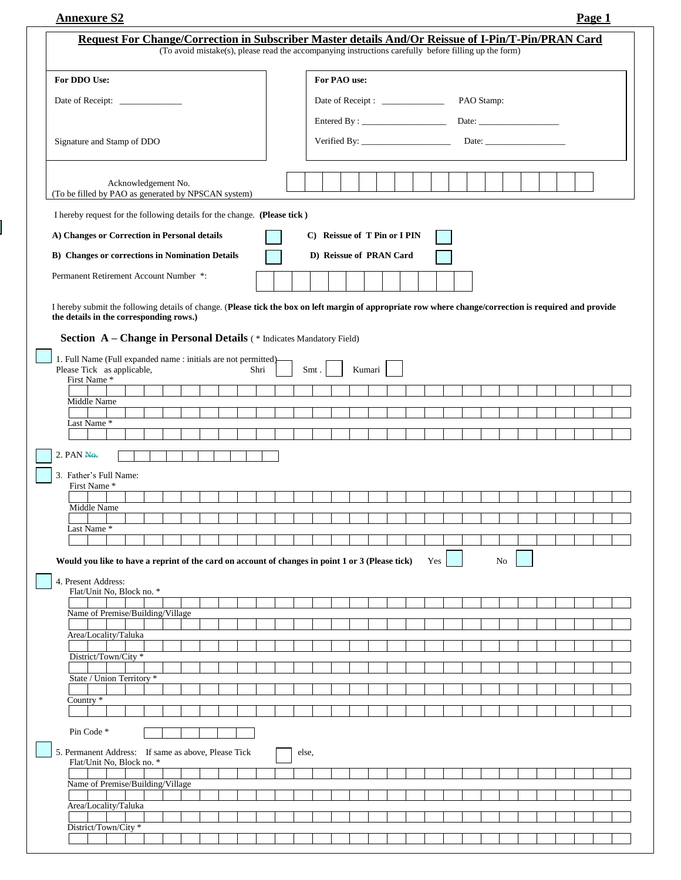| <b>Annexure S2</b> | Page $\overline{ }$ |
|--------------------|---------------------|
|                    |                     |

| Request For Change/Correction in Subscriber Master details And/Or Reissue of I-Pin/T-Pin/PRAN Card                                                      | (To avoid mistake(s), please read the accompanying instructions carefully before filling up the form) |  |      |       |                                                                                                                                                                                                                                                                                                                                             |  |                              |  |  |  |     |  |  |  |    |  |  |  |  |  |
|---------------------------------------------------------------------------------------------------------------------------------------------------------|-------------------------------------------------------------------------------------------------------|--|------|-------|---------------------------------------------------------------------------------------------------------------------------------------------------------------------------------------------------------------------------------------------------------------------------------------------------------------------------------------------|--|------------------------------|--|--|--|-----|--|--|--|----|--|--|--|--|--|
| For DDO Use:                                                                                                                                            |                                                                                                       |  |      |       |                                                                                                                                                                                                                                                                                                                                             |  |                              |  |  |  |     |  |  |  |    |  |  |  |  |  |
|                                                                                                                                                         |                                                                                                       |  |      |       | For PAO use:<br>Date of Receipt : _______________<br>PAO Stamp:                                                                                                                                                                                                                                                                             |  |                              |  |  |  |     |  |  |  |    |  |  |  |  |  |
|                                                                                                                                                         |                                                                                                       |  |      |       |                                                                                                                                                                                                                                                                                                                                             |  |                              |  |  |  |     |  |  |  |    |  |  |  |  |  |
| Signature and Stamp of DDO                                                                                                                              |                                                                                                       |  |      |       |                                                                                                                                                                                                                                                                                                                                             |  |                              |  |  |  |     |  |  |  |    |  |  |  |  |  |
|                                                                                                                                                         |                                                                                                       |  |      |       | Verified By: $\frac{1}{2}$ $\frac{1}{2}$ $\frac{1}{2}$ $\frac{1}{2}$ $\frac{1}{2}$ $\frac{1}{2}$ $\frac{1}{2}$ $\frac{1}{2}$ $\frac{1}{2}$ $\frac{1}{2}$ $\frac{1}{2}$ $\frac{1}{2}$ $\frac{1}{2}$ $\frac{1}{2}$ $\frac{1}{2}$ $\frac{1}{2}$ $\frac{1}{2}$ $\frac{1}{2}$ $\frac{1}{2}$ $\frac{1}{2}$ $\frac{1}{2}$<br>Date: $\qquad \qquad$ |  |                              |  |  |  |     |  |  |  |    |  |  |  |  |  |
| Acknowledgement No.<br>(To be filled by PAO as generated by NPSCAN system)                                                                              |                                                                                                       |  |      |       |                                                                                                                                                                                                                                                                                                                                             |  |                              |  |  |  |     |  |  |  |    |  |  |  |  |  |
| I hereby request for the following details for the change. (Please tick)                                                                                |                                                                                                       |  |      |       |                                                                                                                                                                                                                                                                                                                                             |  |                              |  |  |  |     |  |  |  |    |  |  |  |  |  |
| A) Changes or Correction in Personal details                                                                                                            |                                                                                                       |  |      |       |                                                                                                                                                                                                                                                                                                                                             |  | C) Reissue of T Pin or I PIN |  |  |  |     |  |  |  |    |  |  |  |  |  |
| <b>B)</b> Changes or corrections in Nomination Details                                                                                                  |                                                                                                       |  |      |       |                                                                                                                                                                                                                                                                                                                                             |  | D) Reissue of PRAN Card      |  |  |  |     |  |  |  |    |  |  |  |  |  |
| Permanent Retirement Account Number *:                                                                                                                  |                                                                                                       |  |      |       |                                                                                                                                                                                                                                                                                                                                             |  |                              |  |  |  |     |  |  |  |    |  |  |  |  |  |
|                                                                                                                                                         |                                                                                                       |  |      |       |                                                                                                                                                                                                                                                                                                                                             |  |                              |  |  |  |     |  |  |  |    |  |  |  |  |  |
| I hereby submit the following details of change. (Please tick the box on left margin of appropriate row where change/correction is required and provide |                                                                                                       |  |      |       |                                                                                                                                                                                                                                                                                                                                             |  |                              |  |  |  |     |  |  |  |    |  |  |  |  |  |
| the details in the corresponding rows.)                                                                                                                 |                                                                                                       |  |      |       |                                                                                                                                                                                                                                                                                                                                             |  |                              |  |  |  |     |  |  |  |    |  |  |  |  |  |
| Section A - Change in Personal Details (* Indicates Mandatory Field)                                                                                    |                                                                                                       |  |      |       |                                                                                                                                                                                                                                                                                                                                             |  |                              |  |  |  |     |  |  |  |    |  |  |  |  |  |
| 1. Full Name (Full expanded name : initials are not permitted)<br>Please Tick as applicable,                                                            |                                                                                                       |  | Shri | Smt.  |                                                                                                                                                                                                                                                                                                                                             |  | Kumari                       |  |  |  |     |  |  |  |    |  |  |  |  |  |
| First Name*                                                                                                                                             |                                                                                                       |  |      |       |                                                                                                                                                                                                                                                                                                                                             |  |                              |  |  |  |     |  |  |  |    |  |  |  |  |  |
| Middle Name                                                                                                                                             |                                                                                                       |  |      |       |                                                                                                                                                                                                                                                                                                                                             |  |                              |  |  |  |     |  |  |  |    |  |  |  |  |  |
| Last Name*                                                                                                                                              |                                                                                                       |  |      |       |                                                                                                                                                                                                                                                                                                                                             |  |                              |  |  |  |     |  |  |  |    |  |  |  |  |  |
|                                                                                                                                                         |                                                                                                       |  |      |       |                                                                                                                                                                                                                                                                                                                                             |  |                              |  |  |  |     |  |  |  |    |  |  |  |  |  |
| $2.$ PAN $N0$ .                                                                                                                                         |                                                                                                       |  |      |       |                                                                                                                                                                                                                                                                                                                                             |  |                              |  |  |  |     |  |  |  |    |  |  |  |  |  |
| 3. Father's Full Name:                                                                                                                                  |                                                                                                       |  |      |       |                                                                                                                                                                                                                                                                                                                                             |  |                              |  |  |  |     |  |  |  |    |  |  |  |  |  |
| First Name*                                                                                                                                             |                                                                                                       |  |      |       |                                                                                                                                                                                                                                                                                                                                             |  |                              |  |  |  |     |  |  |  |    |  |  |  |  |  |
| Middle Name                                                                                                                                             |                                                                                                       |  |      |       |                                                                                                                                                                                                                                                                                                                                             |  |                              |  |  |  |     |  |  |  |    |  |  |  |  |  |
| Last Name*                                                                                                                                              |                                                                                                       |  |      |       |                                                                                                                                                                                                                                                                                                                                             |  |                              |  |  |  |     |  |  |  |    |  |  |  |  |  |
|                                                                                                                                                         |                                                                                                       |  |      |       |                                                                                                                                                                                                                                                                                                                                             |  |                              |  |  |  |     |  |  |  |    |  |  |  |  |  |
| Would you like to have a reprint of the card on account of changes in point 1 or 3 (Please tick)                                                        |                                                                                                       |  |      |       |                                                                                                                                                                                                                                                                                                                                             |  |                              |  |  |  | Yes |  |  |  | No |  |  |  |  |  |
| 4. Present Address:<br>Flat/Unit No, Block no. *                                                                                                        |                                                                                                       |  |      |       |                                                                                                                                                                                                                                                                                                                                             |  |                              |  |  |  |     |  |  |  |    |  |  |  |  |  |
| Name of Premise/Building/Village                                                                                                                        |                                                                                                       |  |      |       |                                                                                                                                                                                                                                                                                                                                             |  |                              |  |  |  |     |  |  |  |    |  |  |  |  |  |
|                                                                                                                                                         |                                                                                                       |  |      |       |                                                                                                                                                                                                                                                                                                                                             |  |                              |  |  |  |     |  |  |  |    |  |  |  |  |  |
| Area/Locality/Taluka                                                                                                                                    |                                                                                                       |  |      |       |                                                                                                                                                                                                                                                                                                                                             |  |                              |  |  |  |     |  |  |  |    |  |  |  |  |  |
| District/Town/City *                                                                                                                                    |                                                                                                       |  |      |       |                                                                                                                                                                                                                                                                                                                                             |  |                              |  |  |  |     |  |  |  |    |  |  |  |  |  |
| State / Union Territory *                                                                                                                               |                                                                                                       |  |      |       |                                                                                                                                                                                                                                                                                                                                             |  |                              |  |  |  |     |  |  |  |    |  |  |  |  |  |
| Country $*$                                                                                                                                             |                                                                                                       |  |      |       |                                                                                                                                                                                                                                                                                                                                             |  |                              |  |  |  |     |  |  |  |    |  |  |  |  |  |
|                                                                                                                                                         |                                                                                                       |  |      |       |                                                                                                                                                                                                                                                                                                                                             |  |                              |  |  |  |     |  |  |  |    |  |  |  |  |  |
| Pin Code *                                                                                                                                              |                                                                                                       |  |      |       |                                                                                                                                                                                                                                                                                                                                             |  |                              |  |  |  |     |  |  |  |    |  |  |  |  |  |
| 5. Permanent Address: If same as above, Please Tick<br>Flat/Unit No, Block no. *                                                                        |                                                                                                       |  |      | else, |                                                                                                                                                                                                                                                                                                                                             |  |                              |  |  |  |     |  |  |  |    |  |  |  |  |  |
| Name of Premise/Building/Village                                                                                                                        |                                                                                                       |  |      |       |                                                                                                                                                                                                                                                                                                                                             |  |                              |  |  |  |     |  |  |  |    |  |  |  |  |  |
| Area/Locality/Taluka                                                                                                                                    |                                                                                                       |  |      |       |                                                                                                                                                                                                                                                                                                                                             |  |                              |  |  |  |     |  |  |  |    |  |  |  |  |  |
|                                                                                                                                                         |                                                                                                       |  |      |       |                                                                                                                                                                                                                                                                                                                                             |  |                              |  |  |  |     |  |  |  |    |  |  |  |  |  |
| District/Town/City *                                                                                                                                    |                                                                                                       |  |      |       |                                                                                                                                                                                                                                                                                                                                             |  |                              |  |  |  |     |  |  |  |    |  |  |  |  |  |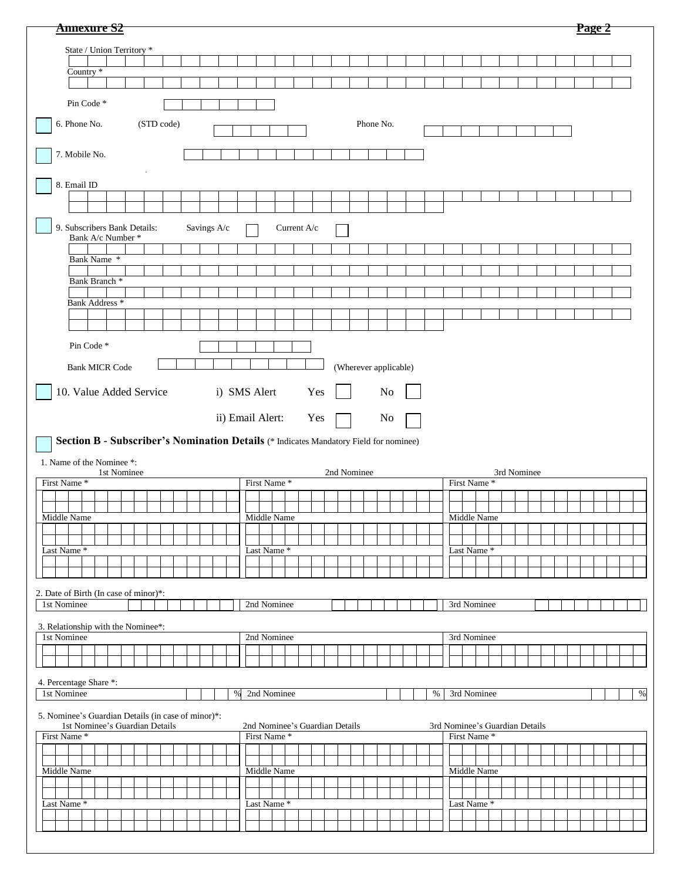| <b>Annexure S2</b>                                 |                                                                                       |      |                                               |             |             |  |                       |  |      |                                               |  |             |             |  |  | Page 2 |  |      |
|----------------------------------------------------|---------------------------------------------------------------------------------------|------|-----------------------------------------------|-------------|-------------|--|-----------------------|--|------|-----------------------------------------------|--|-------------|-------------|--|--|--------|--|------|
| State / Union Territory *                          |                                                                                       |      |                                               |             |             |  |                       |  |      |                                               |  |             |             |  |  |        |  |      |
|                                                    |                                                                                       |      |                                               |             |             |  |                       |  |      |                                               |  |             |             |  |  |        |  |      |
| Country *                                          |                                                                                       |      |                                               |             |             |  |                       |  |      |                                               |  |             |             |  |  |        |  |      |
| Pin Code *                                         |                                                                                       |      |                                               |             |             |  |                       |  |      |                                               |  |             |             |  |  |        |  |      |
| 6. Phone No.<br>(STD code)<br>Phone No.            |                                                                                       |      |                                               |             |             |  |                       |  |      |                                               |  |             |             |  |  |        |  |      |
| 7. Mobile No.                                      |                                                                                       |      |                                               |             |             |  |                       |  |      |                                               |  |             |             |  |  |        |  |      |
|                                                    |                                                                                       |      |                                               |             |             |  |                       |  |      |                                               |  |             |             |  |  |        |  |      |
| 8. Email ID                                        |                                                                                       |      |                                               |             |             |  |                       |  |      |                                               |  |             |             |  |  |        |  |      |
|                                                    |                                                                                       |      |                                               |             |             |  |                       |  |      |                                               |  |             |             |  |  |        |  |      |
| 9. Subscribers Bank Details:<br>Bank A/c Number *  | Savings A/c                                                                           |      |                                               | Current A/c |             |  |                       |  |      |                                               |  |             |             |  |  |        |  |      |
|                                                    |                                                                                       |      |                                               |             |             |  |                       |  |      |                                               |  |             |             |  |  |        |  |      |
| Bank Name *                                        |                                                                                       |      |                                               |             |             |  |                       |  |      |                                               |  |             |             |  |  |        |  |      |
| Bank Branch <sup>*</sup>                           |                                                                                       |      |                                               |             |             |  |                       |  |      |                                               |  |             |             |  |  |        |  |      |
| Bank Address *                                     |                                                                                       |      |                                               |             |             |  |                       |  |      |                                               |  |             |             |  |  |        |  |      |
|                                                    |                                                                                       |      |                                               |             |             |  |                       |  |      |                                               |  |             |             |  |  |        |  |      |
| Pin Code <sup>*</sup>                              |                                                                                       |      |                                               |             |             |  |                       |  |      |                                               |  |             |             |  |  |        |  |      |
|                                                    |                                                                                       |      |                                               |             |             |  |                       |  |      |                                               |  |             |             |  |  |        |  |      |
| <b>Bank MICR Code</b>                              |                                                                                       |      |                                               |             |             |  | (Wherever applicable) |  |      |                                               |  |             |             |  |  |        |  |      |
| 10. Value Added Service                            |                                                                                       |      | i) SMS Alert                                  | Yes         |             |  | N <sub>0</sub>        |  |      |                                               |  |             |             |  |  |        |  |      |
|                                                    |                                                                                       |      | ii) Email Alert:                              | Yes         |             |  | No                    |  |      |                                               |  |             |             |  |  |        |  |      |
|                                                    | Section B - Subscriber's Nomination Details (* Indicates Mandatory Field for nominee) |      |                                               |             |             |  |                       |  |      |                                               |  |             |             |  |  |        |  |      |
|                                                    |                                                                                       |      |                                               |             |             |  |                       |  |      |                                               |  |             |             |  |  |        |  |      |
|                                                    |                                                                                       |      |                                               |             |             |  |                       |  |      |                                               |  |             |             |  |  |        |  |      |
| 1. Name of the Nominee *:<br>1st Nominee           |                                                                                       |      |                                               |             | 2nd Nominee |  |                       |  |      |                                               |  |             | 3rd Nominee |  |  |        |  |      |
| First Name <sup>*</sup>                            |                                                                                       |      | First Name*                                   |             |             |  |                       |  |      | First Name*                                   |  |             |             |  |  |        |  |      |
|                                                    |                                                                                       |      |                                               |             |             |  |                       |  |      |                                               |  |             |             |  |  |        |  |      |
| Middle Name                                        |                                                                                       |      | Middle Name                                   |             |             |  |                       |  |      |                                               |  | Middle Name |             |  |  |        |  |      |
|                                                    |                                                                                       |      |                                               |             |             |  |                       |  |      |                                               |  |             |             |  |  |        |  |      |
| Last Name <sup>*</sup>                             |                                                                                       |      | Last Name*                                    |             |             |  |                       |  |      | Last Name *                                   |  |             |             |  |  |        |  |      |
|                                                    |                                                                                       |      |                                               |             |             |  |                       |  |      |                                               |  |             |             |  |  |        |  |      |
| 2. Date of Birth (In case of minor)*:              |                                                                                       |      |                                               |             |             |  |                       |  |      |                                               |  |             |             |  |  |        |  |      |
| 1st Nominee                                        |                                                                                       |      | 2nd Nominee                                   |             |             |  |                       |  |      | 3rd Nominee                                   |  |             |             |  |  |        |  |      |
| 3. Relationship with the Nominee*:                 |                                                                                       |      |                                               |             |             |  |                       |  |      |                                               |  |             |             |  |  |        |  |      |
| 1st Nominee                                        |                                                                                       |      | 2nd Nominee                                   |             |             |  |                       |  |      | 3rd Nominee                                   |  |             |             |  |  |        |  |      |
|                                                    |                                                                                       |      |                                               |             |             |  |                       |  |      |                                               |  |             |             |  |  |        |  |      |
| 4. Percentage Share *:                             |                                                                                       |      |                                               |             |             |  |                       |  |      |                                               |  |             |             |  |  |        |  |      |
| 1st Nominee                                        |                                                                                       | $\%$ | 2nd Nominee                                   |             |             |  |                       |  | $\%$ |                                               |  | 3rd Nominee |             |  |  |        |  | $\%$ |
| 5. Nominee's Guardian Details (in case of minor)*: |                                                                                       |      |                                               |             |             |  |                       |  |      |                                               |  |             |             |  |  |        |  |      |
| 1st Nominee's Guardian Details<br>First Name*      |                                                                                       |      | 2nd Nominee's Guardian Details<br>First Name* |             |             |  |                       |  |      | 3rd Nominee's Guardian Details<br>First Name* |  |             |             |  |  |        |  |      |
|                                                    |                                                                                       |      |                                               |             |             |  |                       |  |      |                                               |  |             |             |  |  |        |  |      |
| Middle Name                                        |                                                                                       |      | Middle Name                                   |             |             |  |                       |  |      |                                               |  | Middle Name |             |  |  |        |  |      |
|                                                    |                                                                                       |      |                                               |             |             |  |                       |  |      |                                               |  |             |             |  |  |        |  |      |
| Last Name*                                         |                                                                                       |      | Last Name*                                    |             |             |  |                       |  |      | Last Name*                                    |  |             |             |  |  |        |  |      |